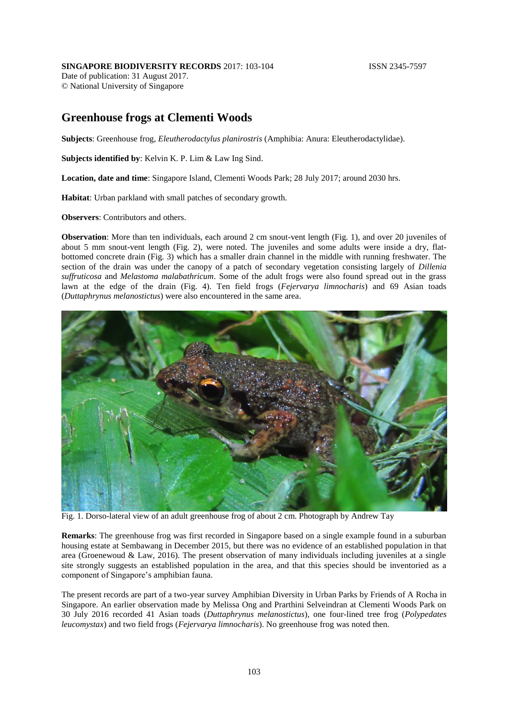## **SINGAPORE BIODIVERSITY RECORDS** 2017: 103-104 **ISSN 2345-7597**

Date of publication: 31 August 2017. © National University of Singapore

## **Greenhouse frogs at Clementi Woods**

**Subjects**: Greenhouse frog, *Eleutherodactylus planirostris* (Amphibia: Anura: Eleutherodactylidae).

**Subjects identified by**: Kelvin K. P. Lim & Law Ing Sind.

**Location, date and time**: Singapore Island, Clementi Woods Park; 28 July 2017; around 2030 hrs.

**Habitat**: Urban parkland with small patches of secondary growth.

**Observers**: Contributors and others.

**Observation**: More than ten individuals, each around 2 cm snout-vent length (Fig. 1), and over 20 juveniles of about 5 mm snout-vent length (Fig. 2), were noted. The juveniles and some adults were inside a dry, flatbottomed concrete drain (Fig. 3) which has a smaller drain channel in the middle with running freshwater. The section of the drain was under the canopy of a patch of secondary vegetation consisting largely of *Dillenia suffruticosa* and *Melastoma malabathricum*. Some of the adult frogs were also found spread out in the grass lawn at the edge of the drain (Fig. 4). Ten field frogs (*Fejervarya limnocharis*) and 69 Asian toads (*Duttaphrynus melanostictus*) were also encountered in the same area.



Fig. 1. Dorso-lateral view of an adult greenhouse frog of about 2 cm. Photograph by Andrew Tay

**Remarks**: The greenhouse frog was first recorded in Singapore based on a single example found in a suburban housing estate at Sembawang in December 2015, but there was no evidence of an established population in that area (Groenewoud & Law, 2016). The present observation of many individuals including juveniles at a single site strongly suggests an established population in the area, and that this species should be inventoried as a component of Singapore's amphibian fauna.

The present records are part of a two-year survey Amphibian Diversity in Urban Parks by Friends of A Rocha in Singapore. An earlier observation made by Melissa Ong and Prarthini Selveindran at Clementi Woods Park on 30 July 2016 recorded 41 Asian toads (*Duttaphrynus melanostictus*), one four-lined tree frog (*Polypedates leucomystax*) and two field frogs (*Fejervarya limnocharis*). No greenhouse frog was noted then.